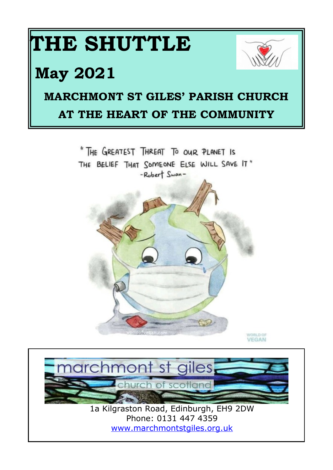





<www.marchmontstgiles.org.uk>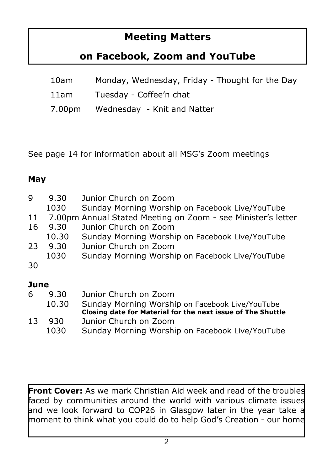#### **Meeting Matters**

#### **on Facebook, Zoom and YouTube**

| 10am   | Monday, Wednesday, Friday - Thought for the Day |
|--------|-------------------------------------------------|
| 11am   | Tuesday - Coffee'n chat                         |
| 7.00pm | Wednesday - Knit and Natter                     |

See page 14 for information about all MSG's Zoom meetings

#### **May**

| 9    | 9.30<br>1030 | Junior Church on Zoom<br>Sunday Morning Worship on Facebook Live/YouTube |
|------|--------------|--------------------------------------------------------------------------|
| 11   |              | 7.00pm Annual Stated Meeting on Zoom - see Minister's letter             |
| 16   | 9.30         | Junior Church on Zoom                                                    |
|      | 10.30        | Sunday Morning Worship on Facebook Live/YouTube                          |
| 23   | 9.30         | Junior Church on Zoom                                                    |
|      | 1030         | Sunday Morning Worship on Facebook Live/YouTube                          |
| 30   |              |                                                                          |
| June |              |                                                                          |
| 6    | 9.30         | Junior Church on Zoom                                                    |
|      | 10.30        | Sunday Morning Worship on Facebook Live/YouTube                          |
|      |              | Closing date for Material for the next issue of The Shuttle              |
| 13   | 930          | Junior Church on Zoom                                                    |

1030 Sunday Morning Worship on Facebook Live/YouTube

**Front Cover:** As we mark Christian Aid week and read of the troubles faced by communities around the world with various climate issues and we look forward to COP26 in Glasgow later in the year take a moment to think what you could do to help God's Creation - our home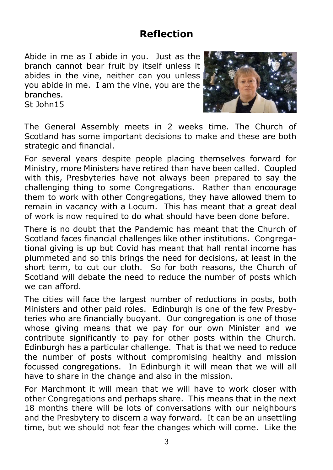#### **Reflection**

Abide in me as I abide in you. Just as the branch cannot bear fruit by itself unless it abides in the vine, neither can you unless you abide in me. I am the vine, you are the branches. St John15



The General Assembly meets in 2 weeks time. The Church of Scotland has some important decisions to make and these are both strategic and financial.

For several years despite people placing themselves forward for Ministry, more Ministers have retired than have been called. Coupled with this, Presbyteries have not always been prepared to say the challenging thing to some Congregations. Rather than encourage them to work with other Congregations, they have allowed them to remain in vacancy with a Locum. This has meant that a great deal of work is now required to do what should have been done before.

There is no doubt that the Pandemic has meant that the Church of Scotland faces financial challenges like other institutions. Congregational giving is up but Covid has meant that hall rental income has plummeted and so this brings the need for decisions, at least in the short term, to cut our cloth. So for both reasons, the Church of Scotland will debate the need to reduce the number of posts which we can afford.

The cities will face the largest number of reductions in posts, both Ministers and other paid roles. Edinburgh is one of the few Presbyteries who are financially buoyant. Our congregation is one of those whose giving means that we pay for our own Minister and we contribute significantly to pay for other posts within the Church. Edinburgh has a particular challenge. That is that we need to reduce the number of posts without compromising healthy and mission focussed congregations. In Edinburgh it will mean that we will all have to share in the change and also in the mission.

For Marchmont it will mean that we will have to work closer with other Congregations and perhaps share. This means that in the next 18 months there will be lots of conversations with our neighbours and the Presbytery to discern a way forward. It can be an unsettling time, but we should not fear the changes which will come. Like the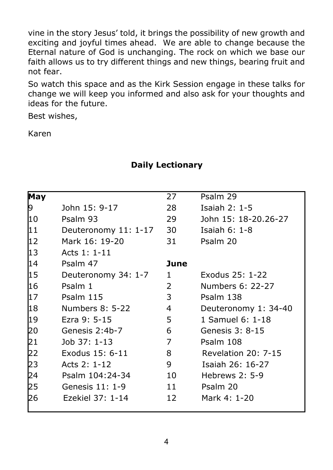vine in the story Jesus' told, it brings the possibility of new growth and exciting and joyful times ahead. We are able to change because the Eternal nature of God is unchanging. The rock on which we base our faith allows us to try different things and new things, bearing fruit and not fear.

So watch this space and as the Kirk Session engage in these talks for change we will keep you informed and also ask for your thoughts and ideas for the future.

Best wishes,

Karen

#### **Daily Lectionary**

| May |                      | 27   | Psalm 29                   |
|-----|----------------------|------|----------------------------|
| þ.  | John 15: 9-17        | 28   | Isaiah $2:1-5$             |
| l10 | Psalm 93             | 29.  | John 15: 18-20.26-27       |
| 11  | Deuteronomy 11: 1-17 | 30   | Isaiah 6: $1-8$            |
| 12  | Mark 16: 19-20       | 31   | Psalm 20                   |
| 13  | Acts 1: 1-11         |      |                            |
| 14  | Psalm 47             | June |                            |
| 15  | Deuteronomy 34: 1-7  | 1.   | Exodus 25: 1-22            |
| 16  | Psalm 1              | 2    | Numbers 6: 22-27           |
| 17  | Psalm 115            | 3    | Psalm 138                  |
| 18  | Numbers 8: 5-22      | 4    | Deuteronomy 1: 34-40       |
| 19  | Ezra 9: 5-15         | 5    | 1 Samuel 6: 1-18           |
| 20  | Genesis 2:4b-7       | 6    | Genesis 3: 8-15            |
| 21  | Job 37: 1-13         | 7    | Psalm 108                  |
| 22  | Exodus 15: 6-11      | 8    | <b>Revelation 20: 7-15</b> |
| 23  | Acts 2: 1-12         | 9    | Isaiah 26: 16-27           |
| 24  | Psalm 104:24-34      | 10   | Hebrews 2: 5-9             |
| 25  | Genesis 11: 1-9      | 11   | Psalm 20                   |
| 26  | Ezekiel 37: 1-14     | 12   | Mark 4: 1-20               |
|     |                      |      |                            |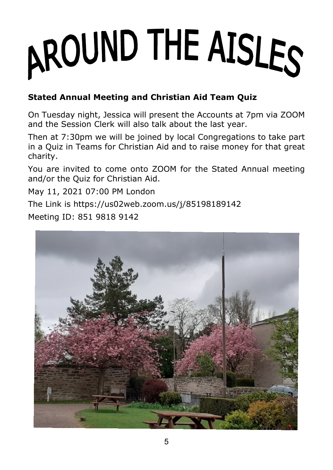# AROUND THE AISLES

#### **Stated Annual Meeting and Christian Aid Team Quiz**

On Tuesday night, Jessica will present the Accounts at 7pm via ZOOM and the Session Clerk will also talk about the last year.

Then at 7:30pm we will be joined by local Congregations to take part in a Quiz in Teams for Christian Aid and to raise money for that great charity.

You are invited to come onto ZOOM for the Stated Annual meeting and/or the Quiz for Christian Aid.

May 11, 2021 07:00 PM London

The Link is https://us02web.zoom.us/j/85198189142

Meeting ID: 851 9818 9142

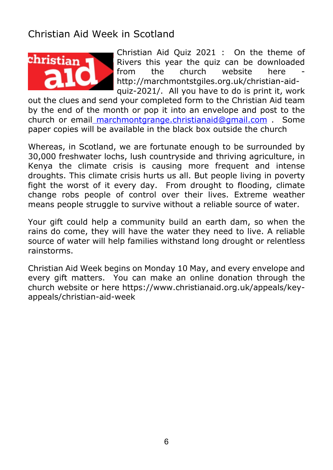#### Christian Aid Week in Scotland



Christian Aid Quiz 2021 : On the theme of Rivers this year the quiz can be downloaded<br>from the church website here from the church website here http://marchmontstgiles.org.uk/christian-aidquiz-2021/. All you have to do is print it, work

out the clues and send your completed form to the Christian Aid team by the end of the month or pop it into an envelope and post to the church or email [marchmontgrange.christianaid@gmail.com](mailto:marchmontgrange.christianaid@gmail.com) . Some paper copies will be available in the black box outside the church

Whereas, in Scotland, we are fortunate enough to be surrounded by 30,000 freshwater lochs, lush countryside and thriving agriculture, in Kenya the climate crisis is causing more frequent and intense droughts. This climate crisis hurts us all. But people living in poverty fight the worst of it every day. From drought to flooding, climate change robs people of control over their lives. Extreme weather means people struggle to survive without a reliable source of water.

Your gift could help a community build an earth dam, so when the rains do come, they will have the water they need to live. A reliable source of water will help families withstand long drought or relentless rainstorms.

Christian Aid Week begins on Monday 10 May, and every envelope and every gift matters. You can make an online donation through the church website or here https://www.christianaid.org.uk/appeals/keyappeals/christian-aid-week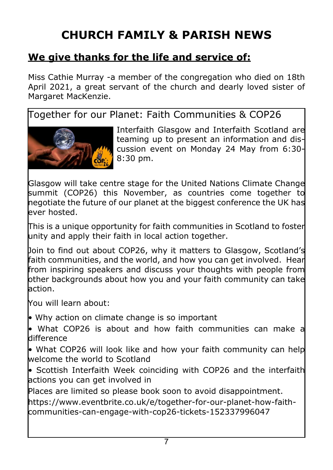## **CHURCH FAMILY & PARISH NEWS**

#### **We give thanks for the life and service of:**

Miss Cathie Murray -a member of the congregation who died on 18th April 2021, a great servant of the church and dearly loved sister of Margaret MacKenzie.

Together for our Planet: Faith Communities & COP26



Interfaith Glasgow and Interfaith Scotland are teaming up to present an information and discussion event on Monday 24 May from 6:30- 8:30 pm.

Glasgow will take centre stage for the United Nations Climate Change summit (COP26) this November, as countries come together to negotiate the future of our planet at the biggest conference the UK has ever hosted.

This is a unique opportunity for faith communities in Scotland to foster unity and apply their faith in local action together.

Join to find out about COP26, why it matters to Glasgow, Scotland's faith communities, and the world, and how you can get involved. Hear from inspiring speakers and discuss your thoughts with people from other backgrounds about how you and your faith community can take action.

You will learn about:

• Why action on climate change is so important

• What COP26 is about and how faith communities can make a difference

• What COP26 will look like and how your faith community can help welcome the world to Scotland

• Scottish Interfaith Week coinciding with COP26 and the interfaith **l**actions you can get involved in

Places are limited so please book soon to avoid disappointment.

https://www.eventbrite.co.uk/e/together-for-our-planet-how-faithcommunities-can-engage-with-cop26-tickets-152337996047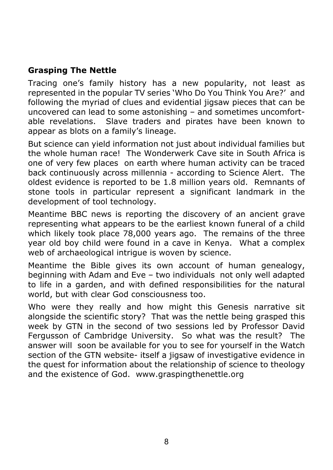#### **Grasping The Nettle**

Tracing one's family history has a new popularity, not least as represented in the popular TV series 'Who Do You Think You Are?' and following the myriad of clues and evidential jigsaw pieces that can be uncovered can lead to some astonishing – and sometimes uncomfortable revelations. Slave traders and pirates have been known to appear as blots on a family's lineage.

But science can yield information not just about individual families but the whole human race! The Wonderwerk Cave site in South Africa is one of very few places on earth where human activity can be traced back continuously across millennia - according to Science Alert. The oldest evidence is reported to be 1.8 million years old. Remnants of stone tools in particular represent a significant landmark in the development of tool technology.

Meantime BBC news is reporting the discovery of an ancient grave representing what appears to be the earliest known funeral of a child which likely took place 78,000 years ago. The remains of the three year old boy child were found in a cave in Kenya. What a complex web of archaeological intrigue is woven by science.

Meantime the Bible gives its own account of human genealogy, beginning with Adam and Eve – two individuals not only well adapted to life in a garden, and with defined responsibilities for the natural world, but with clear God consciousness too.

Who were they really and how might this Genesis narrative sit alongside the scientific story? That was the nettle being grasped this week by GTN in the second of two sessions led by Professor David Fergusson of Cambridge University. So what was the result? The answer will soon be available for you to see for yourself in the Watch section of the GTN website- itself a jigsaw of investigative evidence in the quest for information about the relationship of science to theology and the existence of God. www.graspingthenettle.org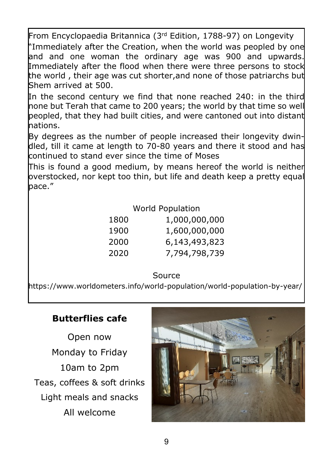From Encyclopaedia Britannica (3rd Edition, 1788-97) on Longevity "Immediately after the Creation, when the world was peopled by one and and one woman the ordinary age was 900 and upwards. Immediately after the flood when there were three persons to stock the world, their age was cut shorter,and none of those patriarchs but Shem arrived at 500.

In the second century we find that none reached 240: in the third none but Terah that came to 200 years; the world by that time so well beopled, that they had built cities, and were cantoned out into distant nations.

By degrees as the number of people increased their longevity dwindled, till it came at length to 70-80 years and there it stood and has continued to stand ever since the time of Moses

This is found a good medium, by means hereof the world is neither overstocked, nor kept too thin, but life and death keep a pretty equal pace."

#### World Population

| 1800 | 1,000,000,000 |
|------|---------------|
| 1900 | 1,600,000,000 |
| 2000 | 6,143,493,823 |
| 2020 | 7,794,798,739 |
|      |               |

#### Source

https://www.worldometers.info/world-population/world-population-by-year/

#### **Butterflies cafe**

Open now Monday to Friday 10am to 2pm Teas, coffees & soft drinks Light meals and snacks All welcome

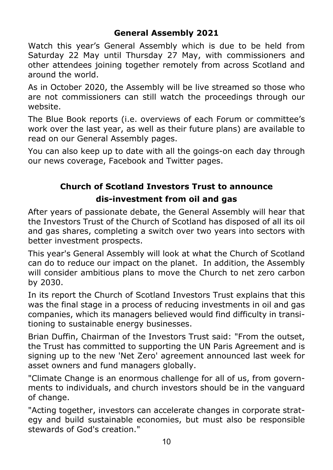#### **General Assembly 2021**

Watch this year's General Assembly which is due to be held from Saturday 22 May until Thursday 27 May, with commissioners and other attendees joining together remotely from across Scotland and around the world.

As in October 2020, the Assembly will be live streamed so those who are not commissioners can still watch the proceedings through our website.

The Blue Book reports (i.e. overviews of each Forum or committee's work over the last year, as well as their future plans) are available to read on our General Assembly pages.

You can also keep up to date with all the goings-on each day through our news coverage, Facebook and Twitter pages.

# **Church of Scotland Investors Trust to announce**

#### **dis-investment from oil and gas**

After years of passionate debate, the General Assembly will hear that the Investors Trust of the Church of Scotland has disposed of all its oil and gas shares, completing a switch over two years into sectors with better investment prospects.

This year's General Assembly will look at what the Church of Scotland can do to reduce our impact on the planet. In addition, the Assembly will consider ambitious plans to move the Church to net zero carbon by 2030.

In its report the Church of Scotland Investors Trust explains that this was the final stage in a process of reducing investments in oil and gas companies, which its managers believed would find difficulty in transitioning to sustainable energy businesses.

Brian Duffin, Chairman of the Investors Trust said: "From the outset, the Trust has committed to supporting the UN Paris Agreement and is signing up to the new 'Net Zero' agreement announced last week for asset owners and fund managers globally.

"Climate Change is an enormous challenge for all of us, from governments to individuals, and church investors should be in the vanguard of change.

"Acting together, investors can accelerate changes in corporate strategy and build sustainable economies, but must also be responsible stewards of God's creation."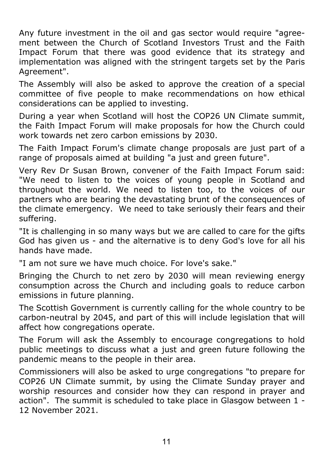Any future investment in the oil and gas sector would require "agreement between the Church of Scotland Investors Trust and the Faith Impact Forum that there was good evidence that its strategy and implementation was aligned with the stringent targets set by the Paris Agreement".

The Assembly will also be asked to approve the creation of a special committee of five people to make recommendations on how ethical considerations can be applied to investing.

During a year when Scotland will host the COP26 UN Climate summit, the Faith Impact Forum will make proposals for how the Church could work towards net zero carbon emissions by 2030.

The Faith Impact Forum's climate change proposals are just part of a range of proposals aimed at building "a just and green future".

Very Rev Dr Susan Brown, convener of the Faith Impact Forum said: "We need to listen to the voices of young people in Scotland and throughout the world. We need to listen too, to the voices of our partners who are bearing the devastating brunt of the consequences of the climate emergency. We need to take seriously their fears and their suffering.

"It is challenging in so many ways but we are called to care for the gifts God has given us - and the alternative is to deny God's love for all his hands have made.

"I am not sure we have much choice. For love's sake."

Bringing the Church to net zero by 2030 will mean reviewing energy consumption across the Church and including goals to reduce carbon emissions in future planning.

The Scottish Government is currently calling for the whole country to be carbon-neutral by 2045, and part of this will include legislation that will affect how congregations operate.

The Forum will ask the Assembly to encourage congregations to hold public meetings to discuss what a just and green future following the pandemic means to the people in their area.

Commissioners will also be asked to urge congregations "to prepare for COP26 UN Climate summit, by using the Climate Sunday prayer and worship resources and consider how they can respond in prayer and action". The summit is scheduled to take place in Glasgow between 1 - 12 November 2021.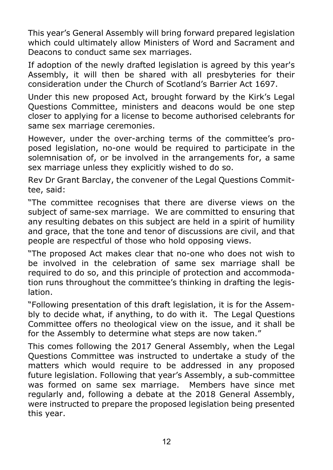This year's General Assembly will bring forward prepared legislation which could ultimately allow Ministers of Word and Sacrament and Deacons to conduct same sex marriages.

If adoption of the newly drafted legislation is agreed by this year's Assembly, it will then be shared with all presbyteries for their consideration under the Church of Scotland's Barrier Act 1697.

Under this new proposed Act, brought forward by the Kirk's Legal Questions Committee, ministers and deacons would be one step closer to applying for a license to become authorised celebrants for same sex marriage ceremonies.

However, under the over-arching terms of the committee's proposed legislation, no-one would be required to participate in the solemnisation of, or be involved in the arrangements for, a same sex marriage unless they explicitly wished to do so.

Rev Dr Grant Barclay, the convener of the Legal Questions Committee, said:

"The committee recognises that there are diverse views on the subject of same-sex marriage. We are committed to ensuring that any resulting debates on this subject are held in a spirit of humility and grace, that the tone and tenor of discussions are civil, and that people are respectful of those who hold opposing views.

"The proposed Act makes clear that no-one who does not wish to be involved in the celebration of same sex marriage shall be required to do so, and this principle of protection and accommodation runs throughout the committee's thinking in drafting the legislation.

"Following presentation of this draft legislation, it is for the Assembly to decide what, if anything, to do with it. The Legal Questions Committee offers no theological view on the issue, and it shall be for the Assembly to determine what steps are now taken."

This comes following the 2017 General Assembly, when the Legal Questions Committee was instructed to undertake a study of the matters which would require to be addressed in any proposed future legislation. Following that year's Assembly, a sub-committee was formed on same sex marriage. Members have since met regularly and, following a debate at the 2018 General Assembly, were instructed to prepare the proposed legislation being presented this year.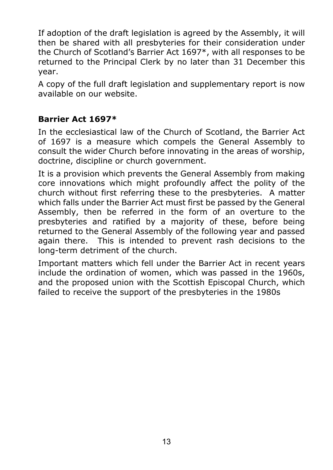If adoption of the draft legislation is agreed by the Assembly, it will then be shared with all presbyteries for their consideration under the Church of Scotland's Barrier Act 1697\*, with all responses to be returned to the Principal Clerk by no later than 31 December this year.

A copy of the full draft legislation and supplementary report is now available on our website.

#### **Barrier Act 1697\***

In the ecclesiastical law of the Church of Scotland, the Barrier Act of 1697 is a measure which compels the General Assembly to consult the wider Church before innovating in the areas of worship, doctrine, discipline or church government.

It is a provision which prevents the General Assembly from making core innovations which might profoundly affect the polity of the church without first referring these to the presbyteries. A matter which falls under the Barrier Act must first be passed by the General Assembly, then be referred in the form of an overture to the presbyteries and ratified by a majority of these, before being returned to the General Assembly of the following year and passed again there. This is intended to prevent rash decisions to the long-term detriment of the church.

Important matters which fell under the Barrier Act in recent years include the ordination of women, which was passed in the 1960s, and the proposed union with the Scottish Episcopal Church, which failed to receive the support of the presbyteries in the 1980s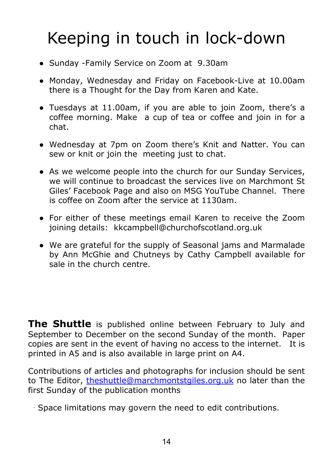# Keeping in touch in lock-down

- Sunday -Family Service on Zoom at 9.30am
- Monday, Wednesday and Friday on Facebook-Live at 10.00am there is a Thought for the Day from Karen and Kate.
- Tuesdays at 11.00am, if you are able to join Zoom, there's a coffee morning. Make a cup of tea or coffee and join in for a chat.
- Wednesday at 7pm on Zoom there's Knit and Natter. You can sew or knit or join the meeting just to chat.
- As we welcome people into the church for our Sunday Services, we will continue to broadcast the services live on Marchmont St Giles' Facebook Page and also on MSG YouTube Channel. There is coffee on Zoom after the service at 1130am.
- For either of these meetings email Karen to receive the Zoom joining details: kkcampbell@churchofscotland.org.uk
- We are grateful for the supply of Seasonal jams and Marmalade by Ann McGhie and Chutneys by Cathy Campbell available for sale in the church centre.

**The Shuttle** is published online between February to July and September to December on the second Sunday of the month. Paper copies are sent in the event of having no access to the internet. It is printed in A5 and is also available in large print on A4.

Contributions of articles and photographs for inclusion should be sent to The Editor, [theshuttle@marchmontstgiles.org.uk](mailto:theshuttle@marchmontstgiles.org.uk) no later than the first Sunday of the publication months

Space limitations may govern the need to edit contributions.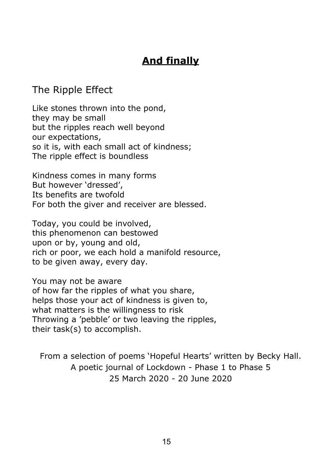#### **And finally**

#### The Ripple Effect

Like stones thrown into the pond, they may be small but the ripples reach well beyond our expectations, so it is, with each small act of kindness; The ripple effect is boundless

Kindness comes in many forms But however 'dressed', Its benefits are twofold For both the giver and receiver are blessed.

Today, you could be involved, this phenomenon can bestowed upon or by, young and old, rich or poor, we each hold a manifold resource, to be given away, every day.

You may not be aware of how far the ripples of what you share, helps those your act of kindness is given to, what matters is the willingness to risk Throwing a 'pebble' or two leaving the ripples, their task(s) to accomplish.

From a selection of poems 'Hopeful Hearts' written by Becky Hall. A poetic journal of Lockdown - Phase 1 to Phase 5 25 March 2020 - 20 June 2020